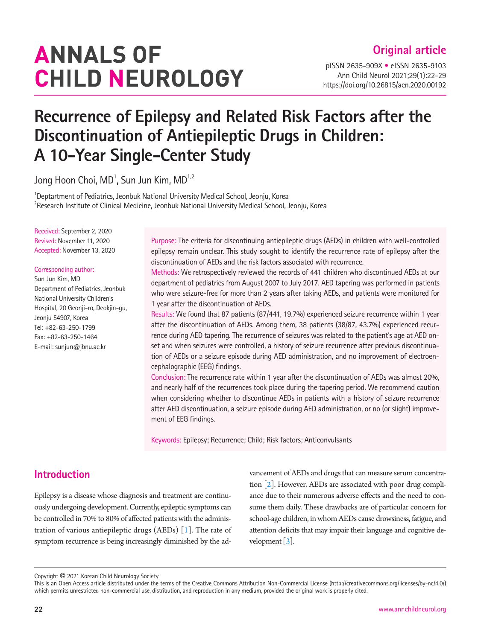# **ANNALS OF CHILD NEUROLOGY**

pISSN 2635-909X • eISSN 2635-9103 Ann Child Neurol 2021;29(1):22-29 https://doi.org/10.26815/acn.2020.00192

## **Recurrence of Epilepsy and Related Risk Factors after the Discontinuation of Antiepileptic Drugs in Children: A 10-Year Single-Center Study**

Jong Hoon Choi, MD $^{\rm 1}$ , Sun Jun Kim, MD $^{\rm 1,2}$ 

<sup>1</sup>Deptartment of Pediatrics, Jeonbuk National University Medical School, Jeonju, Korea  $^{2}$ Research Institute of Clinical Medicine, Jeonbuk National University Medical School, Jeonju, Korea

Received: September 2, 2020 Revised: November 11, 2020 Accepted: November 13, 2020

#### Corresponding author:

Sun Jun Kim, MD Department of Pediatrics, Jeonbuk National University Children's Hospital, 20 Geonji-ro, Deokjin-gu, Jeonju 54907, Korea Tel: +82-63-250-1799 Fax: +82-63-250-1464 E-mail: sunjun@jbnu.ac.kr

Purpose: The criteria for discontinuing antiepileptic drugs (AEDs) in children with well-controlled epilepsy remain unclear. This study sought to identify the recurrence rate of epilepsy after the discontinuation of AEDs and the risk factors associated with recurrence.

Methods: We retrospectively reviewed the records of 441 children who discontinued AEDs at our department of pediatrics from August 2007 to July 2017. AED tapering was performed in patients who were seizure-free for more than 2 years after taking AEDs, and patients were monitored for 1 year after the discontinuation of AEDs.

Results: We found that 87 patients (87/441, 19.7%) experienced seizure recurrence within 1 year after the discontinuation of AEDs. Among them, 38 patients (38/87, 43.7%) experienced recurrence during AED tapering. The recurrence of seizures was related to the patient's age at AED onset and when seizures were controlled, a history of seizure recurrence after previous discontinuation of AEDs or a seizure episode during AED administration, and no improvement of electroencephalographic (EEG) findings.

Conclusion: The recurrence rate within 1 year after the discontinuation of AEDs was almost 20%, and nearly half of the recurrences took place during the tapering period. We recommend caution when considering whether to discontinue AEDs in patients with a history of seizure recurrence after AED discontinuation, a seizure episode during AED administration, or no (or slight) improvement of EEG findings.

Keywords: Epilepsy; Recurrence; Child; Risk factors; Anticonvulsants

## **Introduction**

Epilepsy is a disease whose diagnosis and treatment are continuously undergoing development. Currently, epileptic symptoms can be controlled in 70% to 80% of affected patients with the administration of various antiepileptic drugs (AEDs)  $\lceil 1 \rceil$ . The rate of symptom recurrence is being increasingly diminished by the advancement of AEDs and drugs that can measure serum concentration  $[2]$  $[2]$ . However, AEDs are associated with poor drug compliance due to their numerous adverse effects and the need to consume them daily. These drawbacks are of particular concern for school-age children, in whom AEDs cause drowsiness, fatigue, and attention deficits that may impair their language and cognitive development [\[3\]](#page-6-2).

Copyright © 2021 Korean Child Neurology Society

This is an Open Access article distributed under the terms of the Creative Commons Attribution Non-Commercial License (http://creativecommons.org/licenses/by-nc/4.0/) which permits unrestricted non-commercial use, distribution, and reproduction in any medium, provided the original work is properly cited.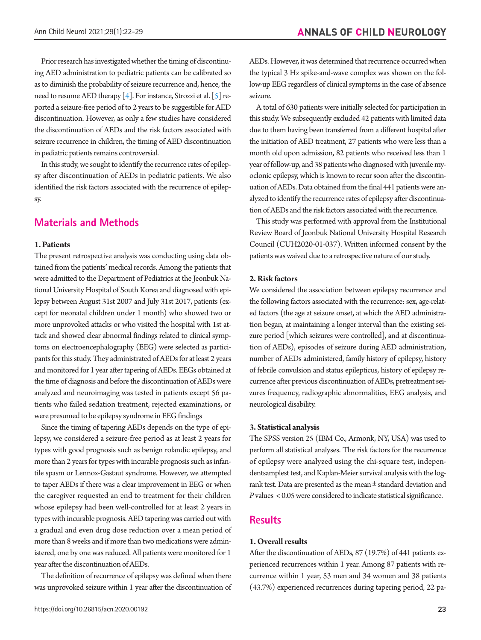Prior research has investigated whether the timing of discontinuing AED administration to pediatric patients can be calibrated so as to diminish the probability of seizure recurrence and, hence, the need to resume AED therapy [\[4\]](#page-6-3). For instance, Strozzi et al. [\[5\]](#page-6-4) reported a seizure-free period of to 2 years to be suggestible for AED discontinuation. However, as only a few studies have considered the discontinuation of AEDs and the risk factors associated with seizure recurrence in children, the timing of AED discontinuation in pediatric patients remains controversial.

In this study, we sought to identify the recurrence rates of epilepsy after discontinuation of AEDs in pediatric patients. We also identified the risk factors associated with the recurrence of epilepsy.

## **Materials and Methods**

#### **1. Patients**

The present retrospective analysis was conducting using data obtained from the patients' medical records. Among the patients that were admitted to the Department of Pediatrics at the Jeonbuk National University Hospital of South Korea and diagnosed with epilepsy between August 31st 2007 and July 31st 2017, patients (except for neonatal children under 1 month) who showed two or more unprovoked attacks or who visited the hospital with 1st attack and showed clear abnormal findings related to clinical symptoms on electroencephalography (EEG) were selected as participants for this study. They administrated of AEDs for at least 2 years and monitored for 1 year after tapering of AEDs. EEGs obtained at the time of diagnosis and before the discontinuation of AEDs were analyzed and neuroimaging was tested in patients except 56 patients who failed sedation treatment, rejected examinations, or were presumed to be epilepsy syndrome in EEG findings

Since the timing of tapering AEDs depends on the type of epilepsy, we considered a seizure-free period as at least 2 years for types with good prognosis such as benign rolandic epilepsy, and more than 2 years for types with incurable prognosis such as infantile spasm or Lennox-Gastaut syndrome. However, we attempted to taper AEDs if there was a clear improvement in EEG or when the caregiver requested an end to treatment for their children whose epilepsy had been well-controlled for at least 2 years in types with incurable prognosis. AED tapering was carried out with a gradual and even drug dose reduction over a mean period of more than 8 weeks and if more than two medications were administered, one by one was reduced. All patients were monitored for 1 year after the discontinuation of AEDs.

The definition of recurrence of epilepsy was defined when there was unprovoked seizure within 1 year after the discontinuation of

https://doi.org/10.26815/acn.2020.00192 23

AEDs. However, it was determined that recurrence occurred when the typical 3 Hz spike-and-wave complex was shown on the follow-up EEG regardless of clinical symptoms in the case of absence seizure.

A total of 630 patients were initially selected for participation in this study. We subsequently excluded 42 patients with limited data due to them having been transferred from a different hospital after the initiation of AED treatment, 27 patients who were less than a month old upon admission, 82 patients who received less than 1 year of follow-up, and 38 patients who diagnosed with juvenile myoclonic epilepsy, which is known to recur soon after the discontinuation of AEDs. Data obtained from the final 441 patients were analyzed to identify the recurrence rates of epilepsy after discontinuation of AEDs and the risk factors associated with the recurrence.

This study was performed with approval from the Institutional Review Board of Jeonbuk National University Hospital Research Council (CUH2020-01-037). Written informed consent by the patients was waived due to a retrospective nature of our study.

#### **2. Risk factors**

We considered the association between epilepsy recurrence and the following factors associated with the recurrence: sex, age-related factors (the age at seizure onset, at which the AED administration began, at maintaining a longer interval than the existing seizure period [which seizures were controlled], and at discontinuation of AEDs), episodes of seizure during AED administration, number of AEDs administered, family history of epilepsy, history of febrile convulsion and status epilepticus, history of epilepsy recurrence after previous discontinuation of AEDs, pretreatment seizures frequency, radiographic abnormalities, EEG analysis, and neurological disability.

#### **3. Statistical analysis**

The SPSS version 25 (IBM Co., Armonk, NY, USA) was used to perform all statistical analyses. The risk factors for the recurrence of epilepsy were analyzed using the chi-square test, independentsamplest test, and Kaplan-Meier survival analysis with the logrank test. Data are presented as the mean ± standard deviation and *P* values < 0.05 were considered to indicate statistical significance.

#### **Results**

#### **1. Overall results**

After the discontinuation of AEDs, 87 (19.7%) of 441 patients experienced recurrences within 1 year. Among 87 patients with recurrence within 1 year, 53 men and 34 women and 38 patients (43.7%) experienced recurrences during tapering period, 22 pa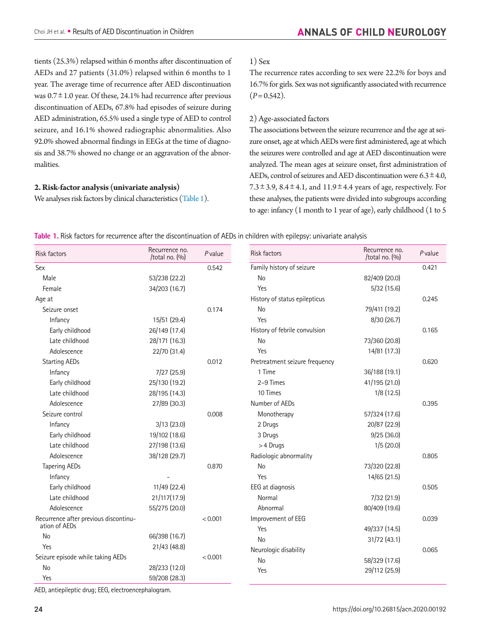tients (25.3%) relapsed within 6 months after discontinuation of AEDs and 27 patients (31.0%) relapsed within 6 months to 1 year. The average time of recurrence after AED discontinuation was  $0.7 \pm 1.0$  year. Of these, 24.1% had recurrence after previous discontinuation of AEDs, 67.8% had episodes of seizure during AED administration, 65.5% used a single type of AED to control seizure, and 16.1% showed radiographic abnormalities. Also 92.0% showed abnormal findings in EEGs at the time of diagnosis and 38.7% showed no change or an aggravation of the abnormalities.

#### **2. Risk-factor analysis (univariate analysis)**

We analyses risk factors by clinical characteristics [\(Table 1\)](#page-2-0).

#### 1) Sex

The recurrence rates according to sex were 22.2% for boys and 16.7% for girls. Sex was not significantly associated with recurrence  $(P= 0.542)$ .

#### 2) Age-associated factors

The associations between the seizure recurrence and the age at seizure onset, age at which AEDs were first administered, age at which the seizures were controlled and age at AED discontinuation were analyzed. The mean ages at seizure onset, first administration of AEDs, control of seizures and AED discontinuation were  $6.3 \pm 4.0$ , 7.3 $\pm$ 3.9, 8.4 $\pm$ 4.1, and 11.9 $\pm$ 4.4 years of age, respectively. For these analyses, the patients were divided into subgroups according to age: infancy (1 month to 1 year of age), early childhood (1 to 5

| <b>Risk factors</b>                                    | Recurrence no.<br>/total no. (%) | Pvalue  | <b>Risk factors</b>            | Recurrence no.<br>/total no. $(%)$ | Pvalue |
|--------------------------------------------------------|----------------------------------|---------|--------------------------------|------------------------------------|--------|
| Sex                                                    |                                  | 0.542   | Family history of seizure      |                                    | 0.421  |
| Male                                                   | 53/238 (22.2)                    |         | <b>No</b>                      | 82/409 (20.0)                      |        |
| Female                                                 | 34/203 (16.7)                    |         | Yes                            | 5/32(15.6)                         |        |
| Age at                                                 |                                  |         | History of status epilepticus  |                                    | 0.245  |
| Seizure onset                                          |                                  | 0.174   | <b>No</b>                      | 79/411 (19.2)                      |        |
| Infancy                                                | 15/51 (29.4)                     |         | Yes                            | 8/30 (26.7)                        |        |
| Early childhood                                        | 26/149 (17.4)                    |         | History of febrile convulsion  |                                    | 0.165  |
| Late childhood                                         | 28/171 (16.3)                    |         | No                             | 73/360 (20.8)                      |        |
| Adolescence                                            | 22/70 (31.4)                     |         | Yes                            | 14/81 (17.3)                       |        |
| <b>Starting AEDs</b>                                   |                                  | 0.012   | Pretreatment seizure frequency |                                    | 0.620  |
| Infancy                                                | 7/27(25.9)                       |         | 1 Time                         | 36/188 (19.1)                      |        |
| Early childhood                                        | 25/130 (19.2)                    |         | 2-9 Times                      | 41/195 (21.0)                      |        |
| Late childhood                                         | 28/195 (14.3)                    |         | 10 Times                       | 1/8(12.5)                          |        |
| Adolescence                                            | 27/89 (30.3)                     |         | Number of AEDs                 |                                    | 0.395  |
| Seizure control                                        |                                  | 0.008   | Monotherapy                    | 57/324 (17.6)                      |        |
| Infancy                                                | 3/13(23.0)                       |         | 2 Drugs                        | 20/87 (22.9)                       |        |
| Early childhood                                        | 19/102 (18.6)                    |         | 3 Drugs                        | 9/25(36.0)                         |        |
| Late childhood                                         | 27/198 (13.6)                    |         | > 4 Drugs                      | 1/5(20.0)                          |        |
| Adolescence                                            | 38/128 (29.7)                    |         | Radiologic abnormality         |                                    | 0.805  |
| <b>Tapering AEDs</b>                                   |                                  | 0.870   | <b>No</b>                      | 73/320 (22.8)                      |        |
| Infancy                                                |                                  |         | Yes                            | 14/65 (21.5)                       |        |
| Early childhood                                        | 11/49 (22.4)                     |         | EEG at diagnosis               |                                    | 0.505  |
| Late childhood                                         | 21/117(17.9)                     |         | Normal                         | 7/32 (21.9)                        |        |
| Adolescence                                            | 55/275 (20.0)                    |         | Abnormal                       | 80/409 (19.6)                      |        |
| Recurrence after previous discontinu-<br>ation of AEDs |                                  | < 0.001 | Improvement of EEG             |                                    | 0.039  |
| No                                                     | 66/398 (16.7)                    |         | Yes                            | 49/337 (14.5)                      |        |
| Yes                                                    | 21/43 (48.8)                     |         | <b>No</b>                      | 31/72 (43.1)                       |        |
| Seizure episode while taking AEDs                      |                                  | < 0.001 | Neurologic disability          |                                    | 0.065  |
| No                                                     | 28/233 (12.0)                    |         | <b>No</b>                      | 58/329 (17.6)                      |        |
| Yes                                                    | 59/208 (28.3)                    |         | Yes                            | 29/112 (25.9)                      |        |

<span id="page-2-0"></span>**Table 1.** Risk factors for recurrence after the discontinuation of AEDs in children with epilepsy: univariate analysis

AED, antiepileptic drug; EEG, electroencephalogram.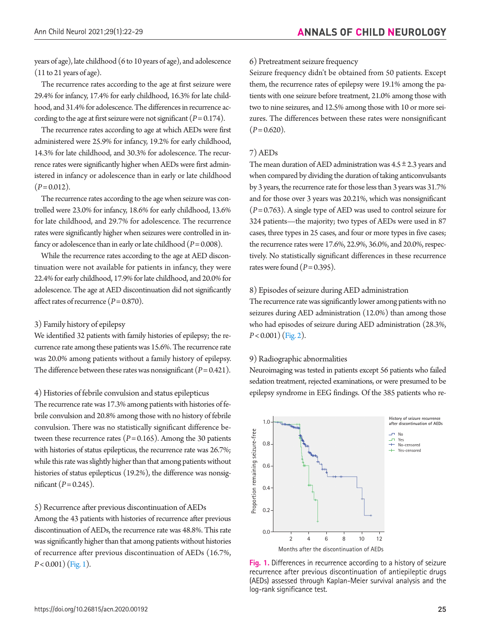years of age), late childhood (6 to 10 years of age), and adolescence (11 to 21 years of age).

The recurrence rates according to the age at first seizure were 29.4% for infancy, 17.4% for early childhood, 16.3% for late childhood, and 31.4% for adolescence. The differences in recurrence according to the age at first seizure were not significant  $(P= 0.174)$ .

The recurrence rates according to age at which AEDs were first administered were 25.9% for infancy, 19.2% for early childhood, 14.3% for late childhood, and 30.3% for adolescence. The recurrence rates were significantly higher when AEDs were first administered in infancy or adolescence than in early or late childhood  $(P= 0.012)$ .

The recurrence rates according to the age when seizure was controlled were 23.0% for infancy, 18.6% for early childhood, 13.6% for late childhood, and 29.7% for adolescence. The recurrence rates were significantly higher when seizures were controlled in infancy or adolescence than in early or late childhood  $(P=0.008)$ .

While the recurrence rates according to the age at AED discontinuation were not available for patients in infancy, they were 22.4% for early childhood, 17.9% for late childhood, and 20.0% for adolescence. The age at AED discontinuation did not significantly affect rates of recurrence  $(P = 0.870)$ .

#### 3) Family history of epilepsy

We identified 32 patients with family histories of epilepsy; the recurrence rate among these patients was 15.6%. The recurrence rate was 20.0% among patients without a family history of epilepsy. The difference between these rates was nonsignificant  $(P = 0.421)$ .

4) Histories of febrile convulsion and status epilepticus

The recurrence rate was 17.3% among patients with histories of febrile convulsion and 20.8% among those with no history of febrile convulsion. There was no statistically significant difference between these recurrence rates  $(P= 0.165)$ . Among the 30 patients with histories of status epilepticus, the recurrence rate was 26.7%; while this rate was slightly higher than that among patients without histories of status epilepticus (19.2%), the difference was nonsignificant  $(P = 0.245)$ .

#### 5) Recurrence after previous discontinuation of AEDs

Among the 43 patients with histories of recurrence after previous discontinuation of AEDs, the recurrence rate was 48.8%. This rate was significantly higher than that among patients without histories of recurrence after previous discontinuation of AEDs (16.7%, *P*< 0.001) [\(Fig. 1\)](#page-3-0).

#### 6) Pretreatment seizure frequency

Seizure frequency didn't be obtained from 50 patients. Except them, the recurrence rates of epilepsy were 19.1% among the patients with one seizure before treatment, 21.0% among those with two to nine seizures, and 12.5% among those with 10 or more seizures. The differences between these rates were nonsignificant  $(P= 0.620)$ .

#### 7) AEDs

The mean duration of AED administration was  $4.5 \pm 2.3$  years and when compared by dividing the duration of taking anticonvulsants by 3 years, the recurrence rate for those less than 3 years was 31.7% and for those over 3 years was 20.21%, which was nonsignificant (*P*= 0.763). A single type of AED was used to control seizure for 324 patients—the majority; two types of AEDs were used in 87 cases, three types in 25 cases, and four or more types in five cases; the recurrence rates were 17.6%, 22.9%, 36.0%, and 20.0%, respectively. No statistically significant differences in these recurrence rates were found  $(P= 0.395)$ .

#### 8) Episodes of seizure during AED administration

The recurrence rate was significantly lower among patients with no seizures during AED administration (12.0%) than among those who had episodes of seizure during AED administration (28.3%, *P*< 0.001) [\(Fig. 2\)](#page-4-0).

#### 9) Radiographic abnormalities

Neuroimaging was tested in patients except 56 patients who failed sedation treatment, rejected examinations, or were presumed to be epilepsy syndrome in EEG findings. Of the 385 patients who re-

<span id="page-3-0"></span>

**Fig. 1.** Differences in recurrence according to a history of seizure recurrence after previous discontinuation of antiepileptic drugs (AEDs) assessed through Kaplan-Meier survival analysis and the log-rank significance test.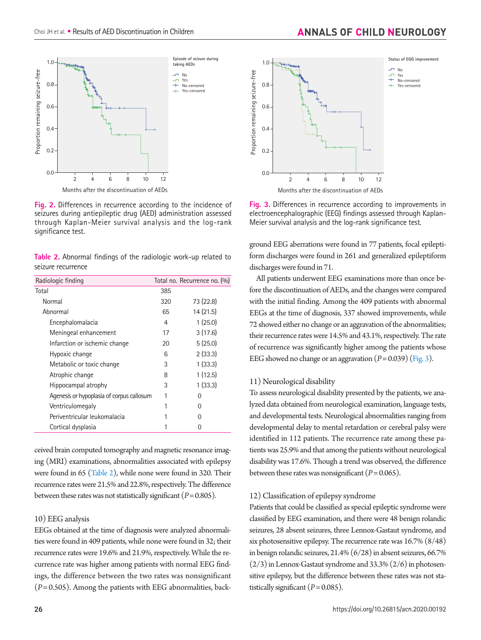<span id="page-4-0"></span>

**Fig. 2.** Differences in recurrence according to the incidence of seizures during antiepileptic drug (AED) administration assessed through Kaplan-Meier survival analysis and the log-rank significance test.

<span id="page-4-1"></span>**Table 2.** Abnormal findings of the radiologic work-up related to seizure recurrence

| Radiologic finding                        |     | Total no. Recurrence no. (%) |
|-------------------------------------------|-----|------------------------------|
| Total                                     | 385 |                              |
| Normal                                    | 320 | 73 (22.8)                    |
| Abnormal                                  | 65  | 14(21.5)                     |
| Encephalomalacia                          | 4   | 1(25.0)                      |
| Meningeal enhancement                     | 17  | 3(17.6)                      |
| Infarction or ischemic change             | 20  | 5(25.0)                      |
| Hypoxic change                            | 6   | 2(33.3)                      |
| Metabolic or toxic change                 | 3   | 1(33.3)                      |
| Atrophic change                           | 8   | 1(12.5)                      |
| Hippocampal atrophy                       | 3   | 1(33.3)                      |
| Agenesis or hypoplasia of corpus callosum |     | $\left( \right)$             |
| Ventriculomegaly                          |     | O                            |
| Periventricular leukomalacia              |     | 0                            |
| Cortical dysplasia                        |     |                              |

ceived brain computed tomography and magnetic resonance imaging (MRI) examinations, abnormalities associated with epilepsy were found in 65 [\(Table 2](#page-4-1)), while none were found in 320. Their recurrence rates were 21.5% and 22.8%, respectively. The difference between these rates was not statistically significant (*P*= 0.805).

#### 10) EEG analysis

EEGs obtained at the time of diagnosis were analyzed abnormalities were found in 409 patients, while none were found in 32; their recurrence rates were 19.6% and 21.9%, respectively. While the recurrence rate was higher among patients with normal EEG findings, the difference between the two rates was nonsignificant (*P*= 0.505). Among the patients with EEG abnormalities, back-



<span id="page-4-2"></span>

**Fig. 3.** Differences in recurrence according to improvements in electroencephalographic (EEG) findings assessed through Kaplan-Meier survival analysis and the log-rank significance test.

ground EEG aberrations were found in 77 patients, focal epileptiform discharges were found in 261 and generalized epileptiform discharges were found in 71.

All patients underwent EEG examinations more than once before the discontinuation of AEDs, and the changes were compared with the initial finding. Among the 409 patients with abnormal EEGs at the time of diagnosis, 337 showed improvements, while 72 showed either no change or an aggravation of the abnormalities; their recurrence rates were 14.5% and 43.1%, respectively. The rate of recurrence was significantly higher among the patients whose EEG showed no change or an aggravation  $(P = 0.039)$  [\(Fig. 3\)](#page-4-2).

#### 11) Neurological disability

To assess neurological disability presented by the patients, we analyzed data obtained from neurological examination, language tests, and developmental tests. Neurological abnormalities ranging from developmental delay to mental retardation or cerebral palsy were identified in 112 patients. The recurrence rate among these patients was 25.9% and that among the patients without neurological disability was 17.6%. Though a trend was observed, the difference between these rates was nonsignificant  $(P= 0.065)$ .

#### 12) Classification of epilepsy syndrome

Patients that could be classified as special epileptic syndrome were classified by EEG examination, and there were 48 benign rolandic seizures, 28 absent seizures, three Lennox-Gastaut syndrome, and six photosensitive epilepsy. The recurrence rate was 16.7% (8/48) in benign rolandic seizures, 21.4% (6/28) in absent seizures, 66.7%  $(2/3)$  in Lennox-Gastaut syndrome and 33.3%  $(2/6)$  in photosensitive epilepsy, but the difference between these rates was not statistically significant  $(P= 0.085)$ .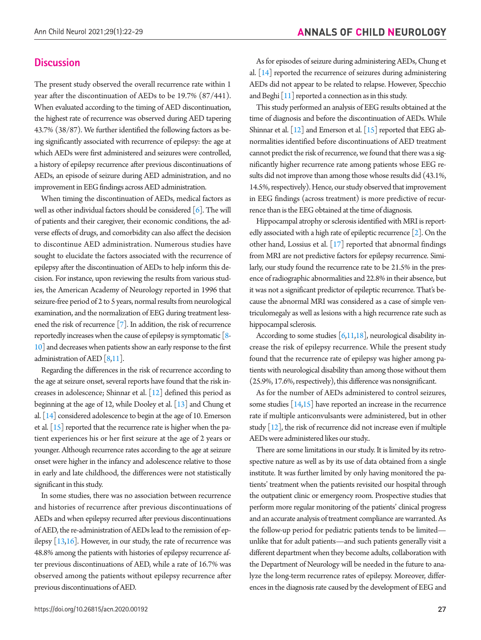### **Discussion**

The present study observed the overall recurrence rate within 1 year after the discontinuation of AEDs to be 19.7% (87/441). When evaluated according to the timing of AED discontinuation, the highest rate of recurrence was observed during AED tapering 43.7% (38/87). We further identified the following factors as being significantly associated with recurrence of epilepsy: the age at which AEDs were first administered and seizures were controlled, a history of epilepsy recurrence after previous discontinuations of AEDs, an episode of seizure during AED administration, and no improvement in EEG findings across AED administration.

When timing the discontinuation of AEDs, medical factors as well as other individual factors should be considered  $[6]$ . The will of patients and their caregiver, their economic conditions, the adverse effects of drugs, and comorbidity can also affect the decision to discontinue AED administration. Numerous studies have sought to elucidate the factors associated with the recurrence of epilepsy after the discontinuation of AEDs to help inform this decision. For instance, upon reviewing the results from various studies, the American Academy of Neurology reported in 1996 that seizure-free period of 2 to 5 years, normal results from neurological examination, and the normalization of EEG during treatment lessened the risk of recurrence [\[7](#page-6-6)]. In addition, the risk of recurrence reportedly increases when the cause of epilepsy is symptomatic [\[8](#page-6-7)[-](#page-6-8) [10\]](#page-6-8) and decreases when patients show an early response to the first administration of AED [\[8,11](#page-6-7)].

Regarding the differences in the risk of recurrence according to the age at seizure onset, several reports have found that the risk increases in adolescence; Shinnar et al. [\[12\]](#page-6-7) defined this period as beginning at the age of 12, while Dooley et al. [\[13\]](#page-6-9) and Chung et al. [\[14\]](#page-6-10) considered adolescence to begin at the age of 10. Emerson et al.  $\left[15\right]$  $\left[15\right]$  $\left[15\right]$  reported that the recurrence rate is higher when the patient experiences his or her first seizure at the age of 2 years or younger. Although recurrence rates according to the age at seizure onset were higher in the infancy and adolescence relative to those in early and late childhood, the differences were not statistically significant in this study.

In some studies, there was no association between recurrence and histories of recurrence after previous discontinuations of AEDs and when epilepsy recurred after previous discontinuations of AED, the re-administration of AEDs lead to the remission of epilepsy  $[13,16]$  $[13,16]$ . However, in our study, the rate of recurrence was 48.8% among the patients with histories of epilepsy recurrence after previous discontinuations of AED, while a rate of 16.7% was observed among the patients without epilepsy recurrence after previous discontinuations of AED.

https://doi.org/10.26815/acn.2020.00192 27

As for episodes of seizure during administering AEDs, Chung et al. [[14](#page-6-10)] reported the recurrence of seizures during administering AEDs did not appear to be related to relapse. However, Specchio and Beghi [\[11\]](#page-6-7) reported a connection as in this study.

This study performed an analysis of EEG results obtained at the time of diagnosis and before the discontinuation of AEDs. While Shinnar et al.  $\left[12\right]$  and Emerson et al.  $\left[15\right]$  reported that EEG abnormalities identified before discontinuations of AED treatment cannot predict the risk of recurrence, we found that there was a significantly higher recurrence rate among patients whose EEG results did not improve than among those whose results did (43.1%, 14.5%, respectively). Hence, our study observed that improvement in EEG findings (across treatment) is more predictive of recurrence than is the EEG obtained at the time of diagnosis.

Hippocampal atrophy or sclerosis identified with MRI is reportedly associated with a high rate of epileptic recurrence  $[2]$ . On the other hand, Lossius et al. [\[17](#page-7-1)] reported that abnormal findings from MRI are not predictive factors for epilepsy recurrence. Similarly, our study found the recurrence rate to be 21.5% in the presence of radiographic abnormalities and 22.8% in their absence, but it was not a significant predictor of epileptic recurrence. That's because the abnormal MRI was considered as a case of simple ventriculomegaly as well as lesions with a high recurrence rate such as hippocampal sclerosis.

According to some studies  $[6,11,18]$  $[6,11,18]$  $[6,11,18]$  $[6,11,18]$ , neurological disability increase the risk of epilepsy recurrence. While the present study found that the recurrence rate of epilepsy was higher among patients with neurological disability than among those without them (25.9%, 17.6%, respectively), this difference was nonsignificant.

As for the number of AEDs administered to control seizures, some studies  $\lceil 14,15 \rceil$  have reported an increase in the recurrence rate if multiple anticonvulsants were administered, but in other study  $[12]$ , the risk of recurrence did not increase even if multiple AEDs were administered likes our study..

There are some limitations in our study. It is limited by its retrospective nature as well as by its use of data obtained from a single institute. It was further limited by only having monitored the patients' treatment when the patients revisited our hospital through the outpatient clinic or emergency room. Prospective studies that perform more regular monitoring of the patients' clinical progress and an accurate analysis of treatment compliance are warranted. As the follow-up period for pediatric patients tends to be limited unlike that for adult patients—and such patients generally visit a different department when they become adults, collaboration with the Department of Neurology will be needed in the future to analyze the long-term recurrence rates of epilepsy. Moreover, differences in the diagnosis rate caused by the development of EEG and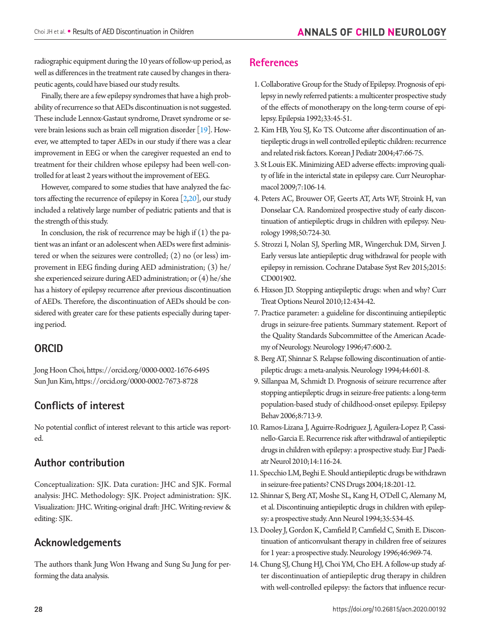radiographic equipment during the 10 years of follow-up period, as well as differences in the treatment rate caused by changes in therapeutic agents, could have biased our study results.

Finally, there are a few epilepsy syndromes that have a high probability of recurrence so that AEDs discontinuation is not suggested. These include Lennox-Gastaut syndrome, Dravet syndrome or severe brain lesions such as brain cell migration disorder [[19](#page-7-3)]. However, we attempted to taper AEDs in our study if there was a clear improvement in EEG or when the caregiver requested an end to treatment for their children whose epilepsy had been well-controlled for at least 2 years without the improvement of EEG.

However, compared to some studies that have analyzed the factors affecting the recurrence of epilepsy in Korea  $[2,20]$  $[2,20]$  $[2,20]$ , our study included a relatively large number of pediatric patients and that is the strength of this study.

In conclusion, the risk of recurrence may be high if  $(1)$  the patient was an infant or an adolescent when AEDs were first administered or when the seizures were controlled; (2) no (or less) improvement in EEG finding during AED administration; (3) he/ she experienced seizure during AED administration; or (4) he/she has a history of epilepsy recurrence after previous discontinuation of AEDs. Therefore, the discontinuation of AEDs should be considered with greater care for these patients especially during tapering period.

## **ORCID**

Jong Hoon Choi, https://orcid.org/0000-0002-1676-6495 Sun Jun Kim, https://orcid.org/0000-0002-7673-8728

## **Conflicts of interest**

No potential conflict of interest relevant to this article was reported.

## **Author contribution**

Conceptualization: SJK. Data curation: JHC and SJK. Formal analysis: JHC. Methodology: SJK. Project administration: SJK. Visualization: JHC. Writing-original draft: JHC. Writing-review & editing: SJK.

## **Acknowledgements**

The authors thank Jung Won Hwang and Sung Su Jung for performing the data analysis.

## **References**

- <span id="page-6-0"></span>1. [Collaborative Group for the Study of Epilepsy. Prognosis of epi](https://doi.org/10.1111/j.1528-1157.1992.tb02281.x)[lepsy in newly referred patients: a multicenter prospective study](https://doi.org/10.1111/j.1528-1157.1992.tb02281.x)  [of the effects of monotherapy on the long-term course of epi](https://doi.org/10.1111/j.1528-1157.1992.tb02281.x)[lepsy. Epilepsia 1992;33:45-51.](https://doi.org/10.1111/j.1528-1157.1992.tb02281.x)
- <span id="page-6-5"></span><span id="page-6-1"></span>2. Kim HB, You SJ, Ko TS. Outcome after discontinuation of antiepileptic drugs in well controlled epileptic children: recurrence and related risk factors. Korean J Pediatr 2004;47:66-75.
- <span id="page-6-2"></span>[3. St Louis EK. Minimizing AED adverse effects: improving quali](https://doi.org/10.2174/157015909788848857)[ty of life in the interictal state in epilepsy care. Curr Neurophar](https://doi.org/10.2174/157015909788848857)[macol 2009;7:106-14.](https://doi.org/10.2174/157015909788848857)
- <span id="page-6-3"></span>[4. Peters AC, Brouwer OF, Geerts AT, Arts WF, Stroink H, van](https://doi.org/10.1212/WNL.50.3.724)  [Donselaar CA. Randomized prospective study of early discon](https://doi.org/10.1212/WNL.50.3.724)[tinuation of antiepileptic drugs in children with epilepsy. Neu](https://doi.org/10.1212/WNL.50.3.724)[rology 1998;50:724-30.](https://doi.org/10.1212/WNL.50.3.724)
- <span id="page-6-4"></span>[5. Strozzi I, Nolan SJ, Sperling MR, Wingerchuk DM, Sirven J.](https://doi.org/10.1002/14651858.CD001902.pub2)  [Early versus late antiepileptic drug withdrawal for people with](https://doi.org/10.1002/14651858.CD001902.pub2)  [epilepsy in remission. Cochrane Database Syst Rev 2015;2015:](https://doi.org/10.1002/14651858.CD001902.pub2) [CD001902](https://doi.org/10.1002/14651858.CD001902.pub2).
- 6. [Hixson JD. Stopping antiepileptic drugs: when and why? Curr](https://doi.org/10.1007/s11940-010-0083-8)  [Treat Options Neurol 2010;12:434-42.](https://doi.org/10.1007/s11940-010-0083-8)
- <span id="page-6-6"></span>[7. Practice parameter: a guideline for discontinuing antiepileptic](https://doi.org/10.1212/WNL.47.2.600)  [drugs in seizure-free patients. Summary statement. Report of](https://doi.org/10.1212/WNL.47.2.600)  [the Quality Standards Subcommittee of the American Acade](https://doi.org/10.1212/WNL.47.2.600)[my of Neurology. Neurology 1996;47:600-2](https://doi.org/10.1212/WNL.47.2.600).
- <span id="page-6-7"></span>8. Berg AT, Shinnar S. Relapse following discontinuation of antiepileptic drugs: a meta-analysis. Neur[ology 1994;44:601-8.](https://doi.org/10.1212/WNL.44.4.601)
- <span id="page-6-9"></span>[9. Sillanpaa M, Schmidt D. Prognosis of seizure recurrence after](https://doi.org/10.1016/j.yebeh.2006.02.014)  [stopping antiepileptic drugs in seizure-free patients: a long-term](https://doi.org/10.1016/j.yebeh.2006.02.014)  [population-based study of childhood-onset epilepsy. Epilepsy](https://doi.org/10.1016/j.yebeh.2006.02.014)  [Behav 2006;8:713-9](https://doi.org/10.1016/j.yebeh.2006.02.014).
- <span id="page-6-8"></span>1[0. Ramos-Lizana J, Aguirre-Rodriguez J, Aguilera-Lopez P, Cassi](https://doi.org/10.1016/j.ejpn.2009.05.006)[nello-Garcia E. Recurrence risk after withdrawal of antiepileptic](https://doi.org/10.1016/j.ejpn.2009.05.006)  [drugs in children with epilepsy: a prospective study. Eur J Paedi](https://doi.org/10.1016/j.ejpn.2009.05.006)[atr Neurol 2010;14:116-24](https://doi.org/10.1016/j.ejpn.2009.05.006).
- 11. [Specchio LM, Beghi E. Should antiepileptic drugs be withdrawn](https://doi.org/10.2165/00023210-200418040-00001)  [in seizure-free patients? CNS Drugs 2004;18:201-12.](https://doi.org/10.2165/00023210-200418040-00001)
- <span id="page-6-11"></span>12. Shinnar S, Berg [AT, Moshe SL, Kang H, O'Dell C, Alemany M,](https://doi.org/10.1002/ana.410350506)  [et al. Discontinuing antiepileptic drugs in children with epilep](https://doi.org/10.1002/ana.410350506)[sy: a prospective study. Ann Neurol 1994;35:534-45.](https://doi.org/10.1002/ana.410350506)
- 13. [Dooley J, Gordon K, Camfield P, Camfield C, Smith E. Discon](https://doi.org/10.1212/WNL.46.4.969)[tinuation of anticonvulsant therapy in children free of seizures](https://doi.org/10.1212/WNL.46.4.969)  [for 1 year: a prospective study. Neurology 1996;46:969-74.](https://doi.org/10.1212/WNL.46.4.969)
- <span id="page-6-10"></span>14. Chung SJ, Chung HJ, Choi YM, Cho EH. A follow-up study after discontinuation of antiepileptic drug therapy in children with well-controlled epilepsy: the factors that influence recur-